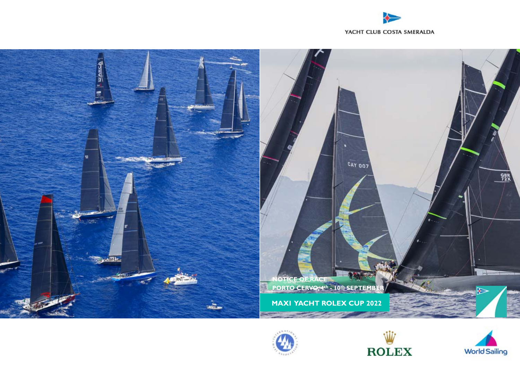









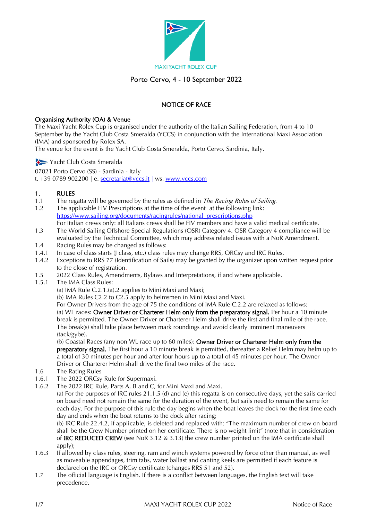

## Porto Cervo, 4 - 10 September 2022

## NOTICE OF RACE

#### Organising Authority (OA) & Venue

The Maxi Yacht Rolex Cup is organised under the authority of the Italian Sailing Federation, from 4 to 10 September by the Yacht Club Costa Smeralda (YCCS) in conjunction with the International Maxi Association (IMA) and sponsored by Rolex SA.

The venue for the event is the Yacht Club Costa Smeralda, Porto Cervo, Sardinia, Italy.

Yacht Club Costa Smeralda

07021 Porto Cervo (SS) - Sardinia - Italy t. +39 0789 902200 | e. [secretariat@yccs.it](mailto:secretariat@yccs.it%20%7C) | ws. [www.yccs.com](http://www.yccs.com/)

#### 1. RULES

- 1.1 The regatta will be governed by the rules as defined in *The Racing Rules of Sailing*.<br>1.2 The applicable FIV Prescriptions at the time of the event at the following link:
- The applicable FIV Prescriptions at the time of the event at the following link: [https://www.sailing.org/documents/racingrules/national\\_prescriptions.php](https://www.sailing.org/documents/racingrules/national_prescriptions.php) For Italian crews only: all Italians crews shall be FIV members and have a valid medical certificate.
- 1.3 The World Sailing Offshore Special Regulations (OSR) Category 4. OSR Category 4 compliance will be
- evaluated by the Technical Committee, which may address related issues with a NoR Amendment. 1.4 Racing Rules may be changed as follows:
- 
- 1.4.1 In case of class starts (J class, etc.) class rules may change RRS, ORCsy and IRC Rules. 1.4.2 Exceptions to RRS 77 (Identification of Sails) may be granted by the organizer upon written request prior to the close of registration.
- 1.5 2022 Class Rules, Amendments, Bylaws and Interpretations, if and where applicable.
- 1.5.1 The IMA Class Rules:

(a) IMA Rule C.2.1.(a).2 applies to Mini Maxi and Maxi;

(b) IMA Rules C2.2 to C2.5 apply to helmsmen in Mini Maxi and Maxi.

For Owner Drivers from the age of 75 the conditions of IMA Rule C.2.2 are relaxed as follows: (a) WL races: Owner Driver or Charterer Helm only from the preparatory signal. Per hour a 10 minute break is permitted. The Owner Driver or Charterer Helm shall drive the first and final mile of the race. The break(s) shall take place between mark roundings and avoid clearly imminent maneuvers (tack/gybe).

(b) Coastal Races (any non WL race up to 60 miles): Owner Driver or Charterer Helm only from the preparatory signal. The first hour a 10 minute break is permitted, thereafter a Relief Helm may helm up to a total of 30 minutes per hour and after four hours up to a total of 45 minutes per hour. The Owner Driver or Charterer Helm shall drive the final two miles of the race.

- 1.6 The Rating Rules
- 1.6.1 The 2022 ORCsy Rule for Supermaxi.
- 1.6.2 The 2022 IRC Rule, Parts A, B and C, for Mini Maxi and Maxi.

(a) For the purposes of IRC rules 21.1.5 (d) and (e) this regatta is on consecutive days, yet the sails carried on board need not remain the same for the duration of the event, but sails need to remain the same for each day. For the purpose of this rule the day begins when the boat leaves the dock for the first time each day and ends when the boat returns to the dock after racing;

(b) IRC Rule 22.4.2, if applicable, is deleted and replaced with: "The maximum number of crew on board shall be the Crew Number printed on her certificate. There is no weight limit" (note that in consideration of IRC REDUCED CREW (see NoR 3.12 & 3.13) the crew number printed on the IMA certificate shall apply);

- 1.6.3 If allowed by class rules, steering, ram and winch systems powered by force other than manual, as well as moveable appendages, trim tabs, water ballast and canting keels are permitted if each feature is declared on the IRC or ORCsy certificate (changes RRS 51 and 52).
- 1.7 The official language is English. If there is a conflict between languages, the English text will take precedence.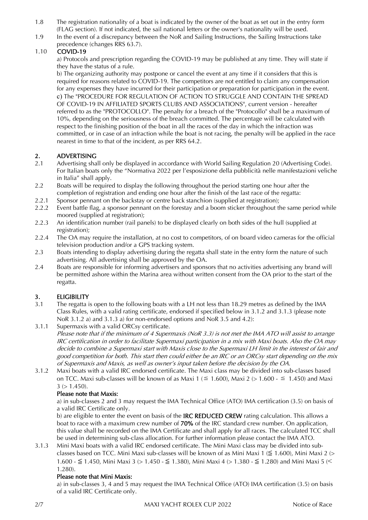- 1.8 The registration nationality of a boat is indicated by the owner of the boat as set out in the entry form (FLAG section). If not indicated, the sail national letters or the owner's nationality will be used.
- 1.9 In the event of a discrepancy between the NoR and Sailing Instructions, the Sailing Instructions take precedence (changes RRS 63.7).

#### 1.10 COVID-19

a) Protocols and prescription regarding the COVID-19 may be published at any time. They will state if they have the status of a rule.

b) The organizing authority may postpone or cancel the event at any time if it considers that this is required for reasons related to COVID-19. The competitors are not entitled to claim any compensation for any expenses they have incurred for their participation or preparation for participation in the event. c) The "PROCEDURE FOR REGULATION OF ACTION TO STRUGGLE AND CONTAIN THE SPREAD OF COVID-19 IN AFFILIATED SPORTS CLUBS AND ASSOCIATIONS", current version - hereafter referred to as the "PROTOCOLLO". The penalty for a breach of the "Protocollo" shall be a maximum of 10%, depending on the seriousness of the breach committed. The percentage will be calculated with respect to the finishing position of the boat in all the races of the day in which the infraction was committed, or in case of an infraction while the boat is not racing, the penalty will be applied in the race nearest in time to that of the incident, as per RRS 64.2.

## 2. ADVERTISING

- 2.1 Advertising shall only be displayed in accordance with World Sailing Regulation 20 (Advertising Code). For Italian boats only the "Normativa 2022 per l'esposizione della pubblicità nelle manifestazioni veliche in Italia" shall apply.
- 2.2 Boats will be required to display the following throughout the period starting one hour after the completion of registration and ending one hour after the finish of the last race of the regatta:
- 2.2.1 Sponsor pennant on the backstay or centre back stanchion (supplied at registration);
- 2.2.2 Event battle flag, a sponsor pennant on the forestay and a boom sticker throughout the same period while moored (supplied at registration);
- 2.2.3 An identification number (rail panels) to be displayed clearly on both sides of the hull (supplied at registration);
- 2.2.4 The OA may require the installation, at no cost to competitors, of on board video cameras for the official television production and/or a GPS tracking system.
- 2.3 Boats intending to display advertising during the regatta shall state in the entry form the nature of such advertising. All advertising shall be approved by the OA.
- 2.4 Boats are responsible for informing advertisers and sponsors that no activities advertising any brand will be permitted ashore within the Marina area without written consent from the OA prior to the start of the regatta.

#### 3. ELIGIBILITY

- 3.1 The regatta is open to the following boats with a LH not less than 18.29 metres as defined by the IMA Class Rules, with a valid rating certificate, endorsed if specified below in 3.1.2 and 3.1.3 (please note NoR 3.1.2 a) and 3.1.3 a) for non-endorsed options and NoR 3.5 and 4.2):
- 3.1.1 Supermaxis with a valid ORCsy certificate.
	- Please note that if the minimum of 4 Supermaxis (NoR 3.3) is not met the IMA ATO will assist to arrange IRC certification in order to facilitate Supermaxi participation in a mix with Maxi boats. Also the OA may decide to combine a Supermaxi start with Maxis close to the Supermaxi LH limit in the interest of fair and good competition for both. This start then could either be an IRC or an ORCsy start depending on the mix of Supermaxis and Maxis, as well as owner's input taken before the decision by the OA.
- 3.1.2 Maxi boats with a valid IRC endorsed certificate. The Maxi class may be divided into sub-classes based on TCC. Maxi sub-classes will be known of as Maxi 1 ( $\leq$  1.600), Maxi 2 (> 1.600 -  $\leq$  1.450) and Maxi  $3$  ( $> 1.450$ ).

#### Please note that Maxis:

a) in sub-classes 2 and 3 may request the IMA Technical Office (ATO) IMA certification (3.5) on basis of a valid IRC Certificate only.

b) are eligible to enter the event on basis of the **IRC REDUCED CREW** rating calculation. This allows a boat to race with a maximum crew number of 70% of the IRC standard crew number. On application, this value shall be recorded on the IMA Certificate and shall apply for all races. The calculated TCC shall be used in determining sub-class allocation. For further information please contact the IMA ATO.

3.1.3 Mini Maxi boats with a valid IRC endorsed certificate. The Mini Maxi class may be divided into subclasses based on TCC. Mini Maxi sub-classes will be known of as Mini Maxi 1 ( $\leq$  1.600), Mini Maxi 2 (> 1.600 - ≤ 1.450, Mini Maxi 3 (> 1.450 - ≤ 1.380), Mini Maxi 4 (> 1.380 - ≤ 1.280) and Mini Maxi 5 (< 1.280).

#### Please note that Mini Maxis:

a) in sub-classes 3, 4 and 5 may request the IMA Technical Office (ATO) IMA certification (3.5) on basis of a valid IRC Certificate only.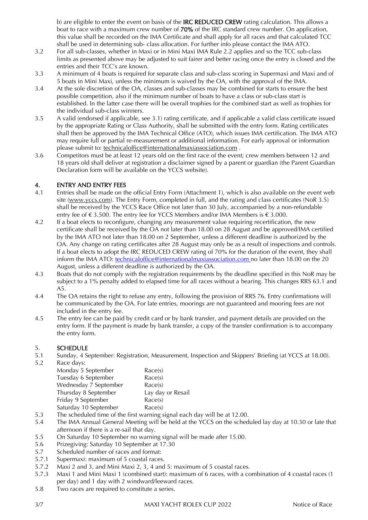b) are eligible to enter the event on basis of the **IRC REDUCED CREW** rating calculation. This allows a boat to race with a maximum crew number of 70% of the IRC standard crew number. On application, this value shall be recorded on the IMA Certificate and shall apply for all races and that calculated TCC shall be used in determining sub- class allocation. For further info please contact the IMA ATO.

- 3.2 For all sub-classes, whether in Maxi or in Mini Maxi IMA Rule 2.2 applies and so the TCC sub-class limits as presented above may be adjusted to suit fairer and better racing once the entry is closed and the entries and their TCC's are known.
- 3.3 A minimum of 4 boats is required for separate class and sub-class scoring in Supermaxi and Maxi and of 5 boats in Mini Maxi, unless the minimum is waived by the OA, with the approval of the IMA.
- 3.4 At the sole discretion of the OA, classes and sub-classes may be combined for starts to ensure the best possible competition, also if the minimum number of boats to have a class or sub-class start is established. In the latter case there will be overall trophies for the combined start as well as trophies for the individual sub-class winners.
- 3.5 A valid (endorsed if applicable, see 3.1) rating certificate, and if applicable a valid class certificate issued by the appropriate Rating or Class Authority, shall be submitted with the entry form. Rating certificates shall then be approved by the IMA Technical Office (ATO), which issues IMA certification. The IMA ATO may require full or partial re-measurement or additional information. For early approval or information please submit to: [technicaloffice@internationalmaxiassociation.com](mailto:technicaloffice@internationalmaxiassociation.com) .
- 3.6 Competitors must be at least 12 years old on the first race of the event; crew members between 12 and 18 years old shall deliver at registration a disclaimer signed by a parent or guardian (the Parent Guardian Declaration form will be available on the YCCS website).

#### 4. ENTRY AND ENTRY FEES

- 4.1 Entries shall be made on the official Entry Form (Attachment 1), which is also available on the event web site [\(www.yccs.c](http://www.yccs./)om). The Entry Form, completed in full, and the rating and class certificates (NoR 3.5) shall be received by the YCCS Race Office not later than 30 July, accompanied by a non-refundable entry fee of  $\epsilon$  3.500. The entry fee for YCCS Members and/or IMA Members is  $\epsilon$  3.000.
- 4.2 If a boat elects to reconfigure, changing any measurement value requiring recertification, the new certificate shall be received by the OA not later than 18.00 on 28 August and be approved/IMA certified by the IMA ATO not later than 18.00 on 2 September, unless a different deadline is authorized by the OA. Any change on rating certificates after 28 August may only be as a result of inspections and controls. If a boat elects to adopt the IRC REDUCED CREW rating of 70% for the duration of the event, they shall inform the IMA ATO: [technicaloffice@internationalmaxiassociation.com](mailto:technicaloffice@internationalmaxiassociation.com) no later than 18.00 on the 20 August, unless a different deadline is authorized by the OA.
- 4.3 Boats that do not comply with the registration requirements by the deadline specified in this NoR may be subject to a 1% penalty added to elapsed time for all races without a hearing. This changes RRS 63.1 and A5.
- 4.4 The OA retains the right to refuse any entry, following the provision of RRS 76. Entry confirmations will be communicated by the OA. For late entries, moorings are not guaranteed and mooring fees are not included in the entry fee.
- 4.5 The entry fee can be paid by credit card or by bank transfer, and payment details are provided on the entry form. If the payment is made by bank transfer, a copy of the transfer confirmation is to accompany the entry form.

#### 5. SCHEDULE

 $5.2$ 

5.1 Sunday, 4 September: Registration, Measurement, Inspection and Skippers' Briefing (at YCCS at 18.00).

| Race days:            |                   |
|-----------------------|-------------------|
| Monday 5 September    | Race(s)           |
| Tuesday 6 September   | Race(s)           |
| Wednesday 7 September | Race(s)           |
| Thursday 8 September  | Lay day or Resail |
| Friday 9 September    | Race(s)           |
| Saturday 10 September | Race(s)           |
|                       |                   |

- 5.3 The scheduled time of the first warning signal each day will be at 12.00.
- 5.4 The IMA Annual General Meeting will be held at the YCCS on the scheduled lay day at 10.30 or late that afternoon if there is a re-sail that day.
- 5.5 On Saturday 10 September no warning signal will be made after 15.00.
- 5.6 Prizegiving: Saturday 10 September at 17.30
- 5.7 Scheduled number of races and format:
- 5.7.1 Supermaxi: maximum of 5 coastal races.
- 5.7.2 Maxi 2 and 3, and Mini Maxi 2, 3, 4 and 5: maximum of 5 coastal races.
- 5.7.3 Maxi 1 and Mini Maxi 1 (combined start): maximum of 6 races, with a combination of 4 coastal races (1 per day) and 1 day with 2 windward/leeward races.
- 5.8 Two races are required to constitute a series.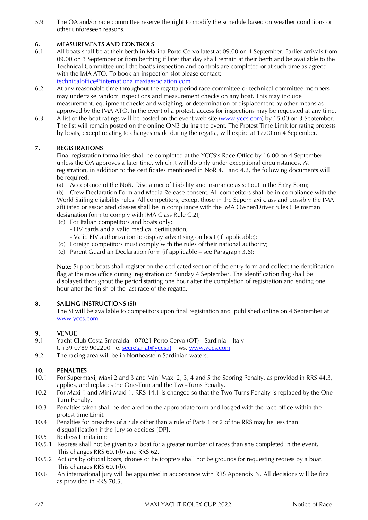5.9 The OA and/or race committee reserve the right to modify the schedule based on weather conditions or other unforeseen reasons.

## 6. MEASUREMENTS AND CONTROLS

- 6.1 All boats shall be at their berth in Marina Porto Cervo latest at 09.00 on 4 September. Earlier arrivals from 09.00 on 3 September or from berthing if later that day shall remain at their berth and be available to the Technical Committee until the boat's inspection and controls are completed or at such time as agreed with the IMA ATO. To book an inspection slot please contact: [technicaloffice@internationalmaxiassociation.com](mailto:technicaloffice@internationalmaxiassociation.com)
- 6.2 At any reasonable time throughout the regatta period race committee or technical committee members may undertake random inspections and measurement checks on any boat. This may include measurement, equipment checks and weighing, or determination of displacement by other means as approved by the IMA ATO. In the event of a protest, access for inspections may be requested at any time.
- 6.3 A list of the boat ratings will be posted on the event web site [\(www.yccs.com\)](http://www.yccs.com/) by 15.00 on 3 September. The list will remain posted on the online ONB during the event. The Protest Time Limit for rating protests by boats, except relating to changes made during the regatta, will expire at 17.00 on 4 September.

#### 7. REGISTRATIONS

Final registration formalities shall be completed at the YCCS's Race Office by 16.00 on 4 September unless the OA approves a later time, which it will do only under exceptional circumstances. At registration, in addition to the certificates mentioned in NoR 4.1 and 4.2, the following documents will be required:

(a) Acceptance of the NoR, Disclaimer of Liability and insurance as set out in the Entry Form;

(b) Crew Declaration Form and Media Release consent. All competitors shall be in compliance with the World Sailing eligibility rules. All competitors, except those in the Supermaxi class and possibly the IMA affiliated or associated classes shall be in compliance with the IMA Owner/Driver rules (Helmsman designation form to comply with IMA Class Rule C.2);

- (c) For Italian competitors and boats only:
	- FIV cards and a valid medical certification;
	- Valid FIV authorization to display advertising on boat (if applicable);
- (d) Foreign competitors must comply with the rules of their national authority;
- (e) Parent Guardian Declaration form (if applicable see Paragraph 3.6);

Note: Support boats shall register on the dedicated section of the entry form and collect the dentification flag at the race office during registration on Sunday 4 September. The identification flag shall be displayed throughout the period starting one hour after the completion of registration and ending one hour after the finish of the last race of the regatta.

#### 8. SAILING INSTRUCTIONS (SI)

The SI will be available to competitors upon final registration and published online on 4 September at [www.yccs.c](http://www.yccs./)om.

#### 9. VENUE

- 9.1 Yacht Club Costa Smeralda 07021 Porto Cervo (OT) Sardinia Italy t. +39 0789 902200 | e. [secretariat@yccs.it](x-webdoc://806C8AFF-7F4F-4BF8-AD01-DC94E2E73078/secretariat@yccs.it) | ws. [www.yccs.c](http://www.yccs./)om
- 9.2 The racing area will be in Northeastern Sardinian waters.

#### 10. PENALTIES

- 10.1 For Supermaxi, Maxi 2 and 3 and Mini Maxi 2, 3, 4 and 5 the Scoring Penalty, as provided in RRS 44.3, applies, and replaces the One-Turn and the Two-Turns Penalty.
- 10.2 For Maxi 1 and Mini Maxi 1, RRS 44.1 is changed so that the Two-Turns Penalty is replaced by the One-Turn Penalty.
- 10.3 Penalties taken shall be declared on the appropriate form and lodged with the race office within the protest time Limit.
- 10.4 Penalties for breaches of a rule other than a rule of Parts 1 or 2 of the RRS may be less than disqualification if the jury so decides [DP].
- 10.5 Redress Limitation:
- 10.5.1 Redress shall not be given to a boat for a greater number of races than she completed in the event. This changes RRS 60.1(b) and RRS 62.
- 10.5.2 Actions by official boats, drones or helicopters shall not be grounds for requesting redress by a boat. This changes RRS 60.1(b).
- 10.6 An international jury will be appointed in accordance with RRS Appendix N. All decisions will be final as provided in RRS 70.5.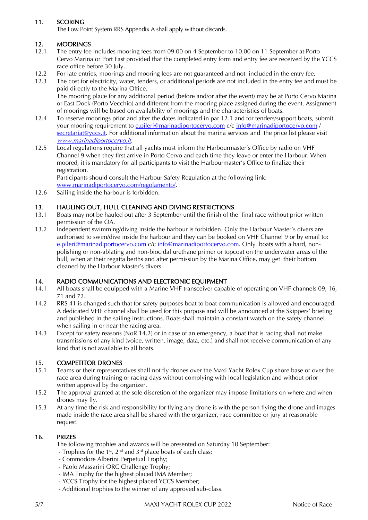## 11. SCORING

The Low Point System RRS Appendix A shall apply without discards.

#### 12. MOORINGS

- 12.1 The entry fee includes mooring fees from 09.00 on 4 September to 10.00 on 11 September at Porto Cervo Marina or Port East provided that the completed entry form and entry fee are received by the YCCS race office before 30 July.
- 12.2 For late entries, moorings and mooring fees are not guaranteed and not included in the entry fee.
- 12.3 The cost for electricity, water, tenders, or additional periods are not included in the entry fee and must be paid directly to the Marina Office. The mooring place for any additional period (before and/or after the event) may be at Porto Cervo Marina or East Dock (Porto Vecchio) and different from the mooring place assigned during the event. Assignment
- of moorings will be based on availability of moorings and the characteristics of boats. 12.4 To reserve moorings prior and after the dates indicated in par.12.1 and for tenders/support boats, submit your mooring requirement to [e.pileri@marinadiportocervo.com](mailto:e.pileri@marinadiportocervo.com) c/c [info@marinadiportocervo.com](mailto:info@marinadiportocervo.com) / [secretariat@yccs.it.](mailto:secretariat@yccs.it) For additional information about the marina services and the price list please visit [www.marinadiportocervo.it](http://www.marinadiportocervo.it/).
- 12.5 Local regulations require that all yachts must inform the Harbourmaster's Office by radio on VHF Channel 9 when they first arrive in Porto Cervo and each time they leave or enter the Harbour. When moored, it is mandatory for all participants to visit the Harbourmaster's Office to finalize their registration.

Participants should consult the Harbour Safety Regulation at the following link:

- [www.marinadiportocervo.com/regolamento/.](http://www.marinadiportocervo.com/regolamento/)
- 12.6 Sailing inside the harbour is forbidden.

#### 13. HAULING OUT, HULL CLEANING AND DIVING RESTRICTIONS

- 13.1 Boats may not be hauled out after 3 September until the finish of the final race without prior written permission of the OA.
- 13.2 Independent swimming/diving inside the harbour is forbidden. Only the Harbour Master's divers are authorised to swim/dive inside the harbour and they can be booked on VHF Channel 9 or by email to: [e.pileri@marinadiportocervo.com](mailto:e.pileri@marinadiportocervo.com) c/c [info@marinadiportocervo.com.](mailto:info@marinadiportocervo.com) Only boats with a hard, nonpolishing or non-ablating and non-biocidal urethane primer or topcoat on the underwater areas of the hull, when at their regatta berths and after permission by the Marina Office, may get their bottom cleaned by the Harbour Master's divers.

#### 14. RADIO COMMUNICATIONS AND ELECTRONIC EQUIPMENT

- 14.1 All boats shall be equipped with a Marine VHF transceiver capable of operating on VHF channels 09, 16, 71 and 72.
- 14.2 RRS 41 is changed such that for safety purposes boat to boat communication is allowed and encouraged. A dedicated VHF channel shall be used for this purpose and will be announced at the Skippers' briefing and published in the sailing instructions. Boats shall maintain a constant watch on the safety channel when sailing in or near the racing area.
- 14.3 Except for safety reasons (NoR  $14.2$ ) or in case of an emergency, a boat that is racing shall not make transmissions of any kind (voice, written, image, data, etc.) and shall not receive communication of any kind that is not available to all boats.

#### 15. COMPETITOR DRONES

- 15.1 Teams or their representatives shall not fly drones over the Maxi Yacht Rolex Cup shore base or over the race area during training or racing days without complying with local legislation and without prior written approval by the organizer.
- 15.2 The approval granted at the sole discretion of the organizer may impose limitations on where and when drones may fly.
- 15.3 At any time the risk and responsibility for flying any drone is with the person flying the drone and images made inside the race area shall be shared with the organizer, race committee or jury at reasonable request.

#### 16. PRIZES

The following trophies and awards will be presented on Saturday 10 September:

- Trophies for the 1<sup>st</sup>, 2<sup>nd</sup> and 3<sup>rd</sup> place boats of each class;
- Commodore Alberini Perpetual Trophy;
- Paolo Massarini ORC Challenge Trophy;
- IMA Trophy for the highest placed IMA Member;
- YCCS Trophy for the highest placed YCCS Member;
- Additional trophies to the winner of any approved sub-class.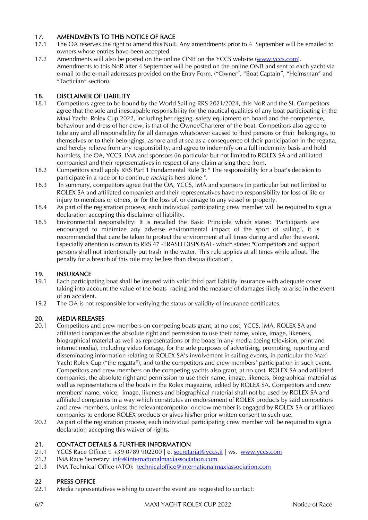## 17. AMENDMENTS TO THIS NOTICE OF RACE

- 17.1 The OA reserves the right to amend this NoR. Any amendments prior to 4 September will be emailed to owners whose entries have been accepted.
- 17.2 Amendments will also be posted on the online ONB on the YCCS website [\(www.yccs.c](http://www.yccs./)om). Amendments to this NoR after 4 September will be posted on the online ONB and sent to each yacht via e-mail to the e-mail addresses provided on the Entry Form. ("Owner", "Boat Captain", "Helmsman" and "Tactician" section).

#### 18. DISCLAIMER OF LIABILITY

- 18.1 Competitors agree to be bound by the World Sailing RRS 2021/2024, this NoR and the SI. Competitors agree that the sole and inescapable responsibility for the nautical qualities of any boat participating in the Maxi Yacht Rolex Cup 2022, including her rigging, safety equipment on board and the competence, behaviour and dress of her crew, is that of the Owner/Charterer of the boat. Competitors also agree to take any and all responsibility for all damages whatsoever caused to third persons or their belongings, to themselves or to their belongings, ashore and at sea as a consequence of their participation in the regatta, and hereby relieve from any responsibility, and agree to indemnify on a full indemnity basis and hold harmless, the OA, YCCS, IMA and sponsors (in particular but not limited to ROLEX SA and affiliated companies) and their representatives in respect of any claim arising there from.
- 18.2 Competitors shall apply RRS Part 1 Fundamental Rule 3: " The responsibility for a boat's decision to participate in a race or to continue *racing* is hers alone".
- 18.3 In summary, competitors agree that the OA, YCCS, IMA and sponsors (in particular but not limited to ROLEX SA and affiliated companies) and their representatives have no responsibility for loss of life or injury to members or others, or for the loss of, or damage to any vessel or property.
- 18.4 As part of the registration process, each individual participating crew member will be required to sign a declaration accepting this disclaimer of liability.
- 18.5 Environmental responsibility: It is recalled the Basic Principle which states: "Participants are encouraged to minimize any adverse environmental impact of the sport of sailing", it is recommended that care be taken to protect the environment at all times during and after the event. Especially attention is drawn to RRS 47 -TRASH DISPOSAL- which states: "Competitors and support persons shall not intentionally put trash in the water. This rule applies at all times while afloat. The penalty for a breach of this rule may be less than disqualification".

#### 19. INSURANCE

- 19.1 Each participating boat shall be insured with valid third part liability insurance with adequate cover taking into account the value of the boats racing and the measure of damages likely to arise in the event of an accident.
- 19.2 The OA is not responsible for verifying the status or validity of insurance certificates.

#### 20. MEDIA RELEASES

- 20.1 Competitors and crew members on competing boats grant, at no cost, YCCS, IMA, ROLEX SA and affiliated companies the absolute right and permission to use their name, voice, image, likeness, biographical material as well as representations of the boats in any media (being television, print and internet media), including video footage, for the sole purposes of advertising, promoting, reporting and disseminating information relating to ROLEX SA's involvement in sailing events, in particular the Maxi Yacht Rolex Cup ("the regatta"), and to the competitors and crew members' participation in such event. Competitors and crew members on the competing yachts also grant, at no cost, ROLEX SA and affiliated companies, the absolute right and permission to use their name, image, likeness, biographical material as well as representations of the boats in the Rolex magazine, edited by ROLEX SA. Competitors and crew members' name, voice, image, likeness and biographical material shall not be used by ROLEX SA and affiliated companies in a way which constitutes an endorsement of ROLEX products by said competitors and crew members, unless the relevantcompetitor or crew member is engaged by ROLEX SA or affiliated companies to endorse ROLEX products or gives his/her prior written consent to such use.
- 20.2 As part of the registration process, each individual participating crew member will be required to sign a declaration accepting this waiver of rights.

#### 21. CONTACT DETAILS & FURTHER INFORMATION

- 21.1 YCCS Race Office: t. +39 0789 902200 | e. [secretariat@yccs.it](file:///C:%5CUsers%5Csegreteriaregate%5CAppData%5CLocal%5CPackages%5CMicrosoft.Office.Desktop_8wekyb3d8bbwe%5CAC%5CINetCache%5CContent.Outlook%5CAppData%5CLocal%5CMicrosoft%5CWindows%5CTemporary%20Internet%20Files%5CContent.Outlook%5CAppData%5CLocal%5CMicrosoft%5CWindows%5CTemporary%20Internet%20Files%5CContent.Outlook%5CLibrary%5CCaches%5CTemporaryItems%5COutlook%20Temp%5Csecretariat@yccs.it) | ws. [www.yccs.c](http://www.yccs./)om
- 21.2 IMA Race Secretary: [info@internationalmaxiassociation.com](mailto:info@internationalmaxiassociation.com)
- 21.3 IMA Technical Office (ATO): [technicaloffice@internationalmaxiassociation.com](mailto:technicaloffice@internationalmaxiassociation.com)

#### 22 PRESS OFFICE

22.1 Media representatives wishing to cover the event are requested to contact: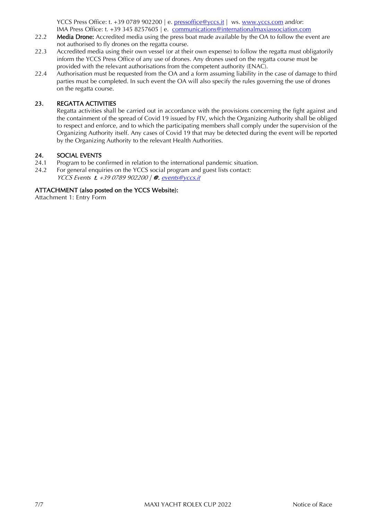YCCS Press Office: t. +39 0789 902200 | e. [pressoffice@yccs.it](mailto:pressoffice@yccs.it) | ws. [www.yccs.com](http://www.yccs.com/) and/or: IMA Press Office: t. +39 345 8257605 | e. [communications@internationalmaxiassociation.com](mailto:communications@internationalmaxiassociation.com)

- 22.2 Media Drone: Accredited media using the press boat made available by the OA to follow the event are not authorised to fly drones on the regatta course.
- 22.3 Accredited media using their own vessel (or at their own expense) to follow the regatta must obligatorily inform the YCCS Press Office of any use of drones. Any drones used on the regatta course must be provided with the relevant authorisations from the competent authority (ENAC).
- 22.4 Authorisation must be requested from the OA and a form assuming liability in the case of damage to third parties must be completed. In such event the OA will also specify the rules governing the use of drones on the regatta course.

#### 23. REGATTA ACTIVITIES

Regatta activities shall be carried out in accordance with the provisions concerning the fight against and the containment of the spread of Covid 19 issued by FIV, which the Organizing Authority shall be obliged to respect and enforce, and to which the participating members shall comply under the supervision of the Organizing Authority itself. Any cases of Covid 19 that may be detected during the event will be reported by the Organizing Authority to the relevant Health Authorities.

#### 24. SOCIAL EVENTS

- 24.1 Program to be confirmed in relation to the international pandemic situation.
- 24.2 For general enquiries on the YCCS social program and guest lists contact:
	- YCCS Events t. +39 0789 902200 | @. events@yccs.it

#### ATTACHMENT (also posted on the YCCS Website):

Attachment 1: Entry Form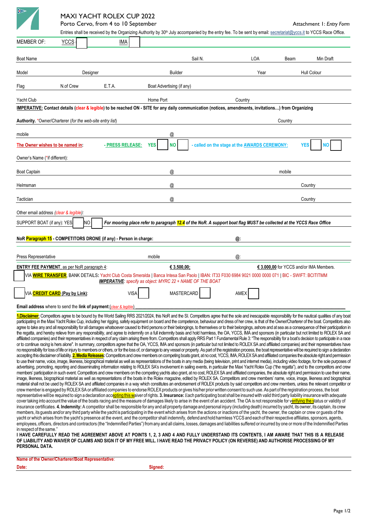

## MAXI YACHT ROLEX CUP 2022

Porto Cervo, from 4 to 10 September Attachment 1: *Entry Form* 

|                                                                                                                                                                                                                                                                                                                                                                                                              |                                                           |                                                                    | Entries shall be received by the Organizing Authority by 30 <sup>th</sup> July accompanied by the entry fee. To be sent by email: secretariat@yccs.it to YCCS Race Office.                                                                                                                                                                                                                                                                     |         |                                               |                                         |           |
|--------------------------------------------------------------------------------------------------------------------------------------------------------------------------------------------------------------------------------------------------------------------------------------------------------------------------------------------------------------------------------------------------------------|-----------------------------------------------------------|--------------------------------------------------------------------|------------------------------------------------------------------------------------------------------------------------------------------------------------------------------------------------------------------------------------------------------------------------------------------------------------------------------------------------------------------------------------------------------------------------------------------------|---------|-----------------------------------------------|-----------------------------------------|-----------|
| <b>MEMBER OF:</b>                                                                                                                                                                                                                                                                                                                                                                                            | <b>YCCS</b>                                               | <b>IMA</b>                                                         |                                                                                                                                                                                                                                                                                                                                                                                                                                                |         |                                               |                                         |           |
| <b>Boat Name</b>                                                                                                                                                                                                                                                                                                                                                                                             |                                                           |                                                                    |                                                                                                                                                                                                                                                                                                                                                                                                                                                | Sail N. | LOA                                           | Beam                                    | Min Draft |
| Model<br>Designer                                                                                                                                                                                                                                                                                                                                                                                            |                                                           |                                                                    | <b>Builder</b>                                                                                                                                                                                                                                                                                                                                                                                                                                 |         | Year                                          | Hull Colour                             |           |
| Flag                                                                                                                                                                                                                                                                                                                                                                                                         | N.of Crew                                                 | E.T.A.                                                             | Boat Advertising (if any)                                                                                                                                                                                                                                                                                                                                                                                                                      |         |                                               |                                         |           |
| Yacht Club                                                                                                                                                                                                                                                                                                                                                                                                   |                                                           |                                                                    | Home Port                                                                                                                                                                                                                                                                                                                                                                                                                                      |         | Country                                       |                                         |           |
|                                                                                                                                                                                                                                                                                                                                                                                                              |                                                           |                                                                    | IMPERATIVE: Contact details (clear & legible) to be reached ON - SITE for any daily communication (notices, amendments, invitations) from Organizing                                                                                                                                                                                                                                                                                           |         |                                               |                                         |           |
|                                                                                                                                                                                                                                                                                                                                                                                                              | Authority. *Owner/Charterer (for the web-site entry list) |                                                                    |                                                                                                                                                                                                                                                                                                                                                                                                                                                |         | Country                                       |                                         |           |
| mobile                                                                                                                                                                                                                                                                                                                                                                                                       |                                                           |                                                                    | @                                                                                                                                                                                                                                                                                                                                                                                                                                              |         |                                               |                                         |           |
| The Owner wishes to be named in:                                                                                                                                                                                                                                                                                                                                                                             |                                                           | - PRESS RELEASE:                                                   | <b>NO</b><br><b>YES</b>                                                                                                                                                                                                                                                                                                                                                                                                                        |         | - called on the stage at the AWARDS CEREMONY: | YES                                     | NΟ        |
| Owner's Name (*if different):                                                                                                                                                                                                                                                                                                                                                                                |                                                           |                                                                    |                                                                                                                                                                                                                                                                                                                                                                                                                                                |         |                                               |                                         |           |
| <b>Boat Captain</b>                                                                                                                                                                                                                                                                                                                                                                                          |                                                           |                                                                    | @                                                                                                                                                                                                                                                                                                                                                                                                                                              |         |                                               | mobile                                  |           |
| Helmsman                                                                                                                                                                                                                                                                                                                                                                                                     |                                                           |                                                                    | @                                                                                                                                                                                                                                                                                                                                                                                                                                              |         |                                               |                                         | Country   |
| Tactician                                                                                                                                                                                                                                                                                                                                                                                                    |                                                           |                                                                    | @                                                                                                                                                                                                                                                                                                                                                                                                                                              |         |                                               |                                         | Country   |
| Other email address (clear & legible):                                                                                                                                                                                                                                                                                                                                                                       |                                                           |                                                                    |                                                                                                                                                                                                                                                                                                                                                                                                                                                |         |                                               |                                         |           |
| SUPPORT BOAT (if any): YES                                                                                                                                                                                                                                                                                                                                                                                   | NO                                                        |                                                                    | For mooring place refer to paragraph 12.4 of the NoR. A support boat flag MUST be collected at the YCCS Race Office                                                                                                                                                                                                                                                                                                                            |         |                                               |                                         |           |
|                                                                                                                                                                                                                                                                                                                                                                                                              |                                                           |                                                                    |                                                                                                                                                                                                                                                                                                                                                                                                                                                |         |                                               |                                         |           |
|                                                                                                                                                                                                                                                                                                                                                                                                              |                                                           | NoR Paragraph 15 - COMPETITORS DRONE (if any) - Person in charge:  |                                                                                                                                                                                                                                                                                                                                                                                                                                                |         | @:                                            |                                         |           |
| Press Representative                                                                                                                                                                                                                                                                                                                                                                                         |                                                           |                                                                    | mobile                                                                                                                                                                                                                                                                                                                                                                                                                                         |         | @:                                            |                                         |           |
|                                                                                                                                                                                                                                                                                                                                                                                                              | <b>ENTRY FEE PAYMENT, as per NoR paragraph 4:</b>         |                                                                    | € 3.500,00;                                                                                                                                                                                                                                                                                                                                                                                                                                    |         |                                               | € 3.000,00 for YCCS and/or IMA Members. |           |
|                                                                                                                                                                                                                                                                                                                                                                                                              |                                                           |                                                                    | VIA <mark>WIRE TRANSFER</mark> , BANK DETAILS: Yacht Club Costa Smeralda   Banca Intesa San Paolo   IBAN: IT33 F030 6984 9021 0000 0000 071   BIC - SWIFT: BCITITMM<br><b>IMPERATIVE:</b> specify as object: MYRC 22 + NAME OF THE BOAT                                                                                                                                                                                                        |         |                                               |                                         |           |
|                                                                                                                                                                                                                                                                                                                                                                                                              | VIA <mark>CREDIT CARD</mark> (Pay by Link):               | <b>VISA</b>                                                        | <b>MASTERCARD</b>                                                                                                                                                                                                                                                                                                                                                                                                                              |         | AMEX                                          |                                         |           |
|                                                                                                                                                                                                                                                                                                                                                                                                              |                                                           | Email address where to send the link of payment: (clear & legible) |                                                                                                                                                                                                                                                                                                                                                                                                                                                |         |                                               |                                         |           |
|                                                                                                                                                                                                                                                                                                                                                                                                              |                                                           |                                                                    | 1.Disclaimer: Competitors agree to be bound by the World Sailing RRS 2021/2024, this NoR and the SI. Competitors agree that the sole and inescapable responsibility for the nautical qualities of any boat                                                                                                                                                                                                                                     |         |                                               |                                         |           |
|                                                                                                                                                                                                                                                                                                                                                                                                              |                                                           |                                                                    | participating in the Maxi Yacht Rolex Cup, including her rigging, safety equipment on board and the competence, behaviour and dress of her crew, is that of the Owner/Charterer of the boat. Competitors also<br>agree to take any and all responsibility for all damages whatsoever caused to third persons or their belongings, to themselves or to their belongings, ashore and at sea as a consequence of their participation in           |         |                                               |                                         |           |
|                                                                                                                                                                                                                                                                                                                                                                                                              |                                                           |                                                                    | the regatta, and hereby relieve from any responsibility, and agree to indemnify on a full indemnity basis and hold harmless, the OA, YCCS, IMA and sponsors (in particular but not limited to ROLEX SA and<br>affiliated companies) and their representatives in respect of any claim arising there from. Competitors shall apply RRS Part 1 Fundamental Rule 3: "The responsibility for a boat's decision to participate in a race            |         |                                               |                                         |           |
|                                                                                                                                                                                                                                                                                                                                                                                                              |                                                           |                                                                    | or to continue racing is hers alone". In summary, competitors agree that the OA, YCCS, IMA and sponsors (in particular but not limited to ROLEX SA and affiliated companies) and their representatives have                                                                                                                                                                                                                                    |         |                                               |                                         |           |
|                                                                                                                                                                                                                                                                                                                                                                                                              |                                                           |                                                                    | no responsibility for loss of life or injury to members or others, or for the loss of, or damage to any vessel or property. As part of the registration process, the boat representative will be required to sign a declaratio<br>accepting this disclaimer of liability. 2. Media Releases: Competitors and crew members on competing boats grant, at no cost, YCCS, IMA, ROLEX SA and affiliated companies the absolute right and permission |         |                                               |                                         |           |
|                                                                                                                                                                                                                                                                                                                                                                                                              |                                                           |                                                                    | to use their name, voice, image, likeness, biographical material as well as representations of the boats in any media (being television, print and internet media), including video footage, for the sole purposes of<br>advertising, promoting, reporting and disseminating information relating to ROLEX SA's involvement in sailing events, in particular the Maxi Yacht Rolex Cup ("the regatta"), and to the competitors and crew         |         |                                               |                                         |           |
|                                                                                                                                                                                                                                                                                                                                                                                                              |                                                           |                                                                    | members' participation in such event. Competitors and crew members on the competing yachts also grant, at no cost, ROLEX SA and affiliated companies, the absolute right and permission to use their name,                                                                                                                                                                                                                                     |         |                                               |                                         |           |
| image, likeness, biographical material as well as representations of the boats in the Rolex magazine, edited by ROLEX SA. Competitors and crew members' name, voice, image, likeness and biographical<br>material shall not be used by ROLEX SA and affiliated companies in a way which constitutes an endorsement of ROLEX products by said competitors and crew members, unless the relevant competitor or |                                                           |                                                                    |                                                                                                                                                                                                                                                                                                                                                                                                                                                |         |                                               |                                         |           |
| crew member is engaged by ROLEX SA or affiliated companies to endorse ROLEX products or gives his/her prior written consent to such use. As part of the registration process, the boat<br>representative will be required to sign a declaration accepting this waiver of rights. 3. Insurance: Each participating boat shall be insured with valid third party liability insurance with adequate             |                                                           |                                                                    |                                                                                                                                                                                                                                                                                                                                                                                                                                                |         |                                               |                                         |           |
| cover taking into account the value of the boats racing and the measure of damages likely to arise in the event of an accident. The OA is not responsible for verifying the status or validity of<br>insurance certificates. 4. Indemnity: A competitor shall be responsible for any and all property damage and personal injury (including death) incurred by yacht, its owner, its captain, its crew       |                                                           |                                                                    |                                                                                                                                                                                                                                                                                                                                                                                                                                                |         |                                               |                                         |           |
|                                                                                                                                                                                                                                                                                                                                                                                                              |                                                           |                                                                    | members, its quests and/or any third party while the yacht is participating in the event which arises from the actions or inactions of the yacht, the owner, the captain or crew or quests of the                                                                                                                                                                                                                                              |         |                                               |                                         |           |
|                                                                                                                                                                                                                                                                                                                                                                                                              |                                                           |                                                                    | yacht or which arises from the yacht's presence at the event, and the competitor shall indemnify, defend and hold harmless YCCS and each of their respective affiliates, sponsors, agents,<br>employees, officers, directors and contractors (the "Indemnified Parties") from any and all claims, losses, damages and liabilities suffered or incurred by one or more of the Indemnified Parties                                               |         |                                               |                                         |           |
| in respect of the same."                                                                                                                                                                                                                                                                                                                                                                                     |                                                           |                                                                    | I HAVE CAREFULLY READ THE AGREEMENT ABOVE AT POINTS 1, 2, 3 AND 4 AND FULLY UNDERSTAND ITS CONTENTS, I AM AWARE THAT THIS IS A RELEASE                                                                                                                                                                                                                                                                                                         |         |                                               |                                         |           |
| PERSONAL DATA.                                                                                                                                                                                                                                                                                                                                                                                               |                                                           |                                                                    | OF LIABILITY AND WAIVER OF CLAIMS AND SIGN IT OF MY FREE WILL. I HAVE READ THE PRIVACY POLICY (ON REVERSE) AND AUTHORISE PROCESSING OF MY                                                                                                                                                                                                                                                                                                      |         |                                               |                                         |           |

| Name of the Owner/Charterer/Boat Representative: |         |
|--------------------------------------------------|---------|
| Date:                                            | Sianed: |